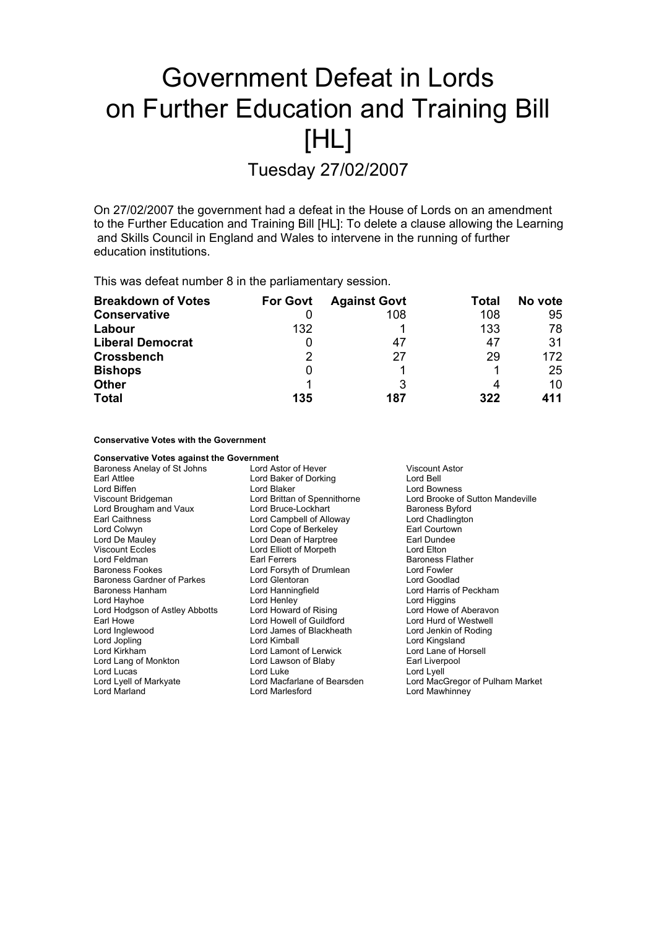# Government Defeat in Lords on Further Education and Training Bill [HL]

Tuesday 27/02/2007

On 27/02/2007 the government had a defeat in the House of Lords on an amendment to the Further Education and Training Bill [HL]: To delete a clause allowing the Learning and Skills Council in England and Wales to intervene in the running of further education institutions.

This was defeat number 8 in the parliamentary session.

| <b>Breakdown of Votes</b> | <b>For Govt</b> | <b>Against Govt</b> | Total | No vote |
|---------------------------|-----------------|---------------------|-------|---------|
| <b>Conservative</b>       |                 | 108                 | 108   | 95      |
| Labour                    | 132             |                     | 133   | 78      |
| <b>Liberal Democrat</b>   |                 | 47                  | 47    | 31      |
| <b>Crossbench</b>         | 2               | 27                  | 29    | 172     |
| <b>Bishops</b>            | 0               |                     |       | 25      |
| <b>Other</b>              |                 |                     | 4     | 10      |
| <b>Total</b>              | 135             | 187                 | 322   | 411     |

# **Conservative Votes with the Government**

**Conservative Votes against the Government**<br>Baroness Anelay of St Johns **bure by Lord Astor of Hever** Baroness Anelay of St Johns Lord Astor of Hever Viscount Astor Earl Attlee **Lord Baker of Dorking** Lord Bell<br>
Lord Biffen **Corporation Lord Bell**<br>
Lord Biffen **Lord Bell** Lord Biffen Lord Bowness<br>
Lord Bowness<br>
Lord Bridgeman Lord Brittan of Spennithorne Lord Brooke of Lord Brooke of Sutton Mandeville Lord Brougham and Vaux Lord Bruce-Lockhart Baroness Byford Earl Caithness **Lord Campbell of Alloway** Lord Chadlington<br>
Lord Colwyn Lord Colwyn<br>
Lord Courtown Lord Cope of Berkeley **Lord Collection** Lord Colwyn **Lord Cope of Berkeley Carl Courtown Lord Cope of Berkeley Earl Courtown Lord Dean of Harptree Earl Dundee** Lord Dean of Harptree Viscount Eccles Lord Elliott of Morpeth Lord Elton Lord Feldman **Earl Ferrers** Earl Ferrers **Earl Example 2** Baroness Flather Baroness Flather<br>Baroness Fookes **Baroness Example 2** Lord Forsyth of Drumlean **Earl Example 2** Lord Fowler Lord Forsyth of Drumlean Baroness Gardner of Parkes Lord Glentoran Lord Goodlad Baroness Hanham Lord Hanningfield Lord Harris of Peckham Lord Hayhoe **Lord Henley** Lord Henley **Lord Henley** Lord Higgins<br>
Lord Hodgson of Astley Abbotts Lord Howard of Rising **Lord Howe of Aberavon** Lord Hodgson of Astley Abbotts Earl Howe Lord Howell of Guildford Lord Hurd of Westwell Lord Inglewood **Communist Condition** Lord James of Blackheath **Conditional Lord Jenkin of Roding**<br>
Lord Communist Lord Kimball<br>
Lord Johnnes Lord Kimball Lord Kingsland Lord Kirkham Lord Lamont of Lerwick Lord Lane of Horsell Lord Lang of Monkton **Lord Lawson of Blaby** Earl Liverpool Lord Lucas Lord Lord Luke Lord Lord Lord Lyell<br>
Lord Lyell of Markvate Lord Macfarlane of Bearsden Lord Mac<sup>r</sup> Lord MacGregor of Pulham Market Lord Marland Lord Marlesford Lord Mawhinney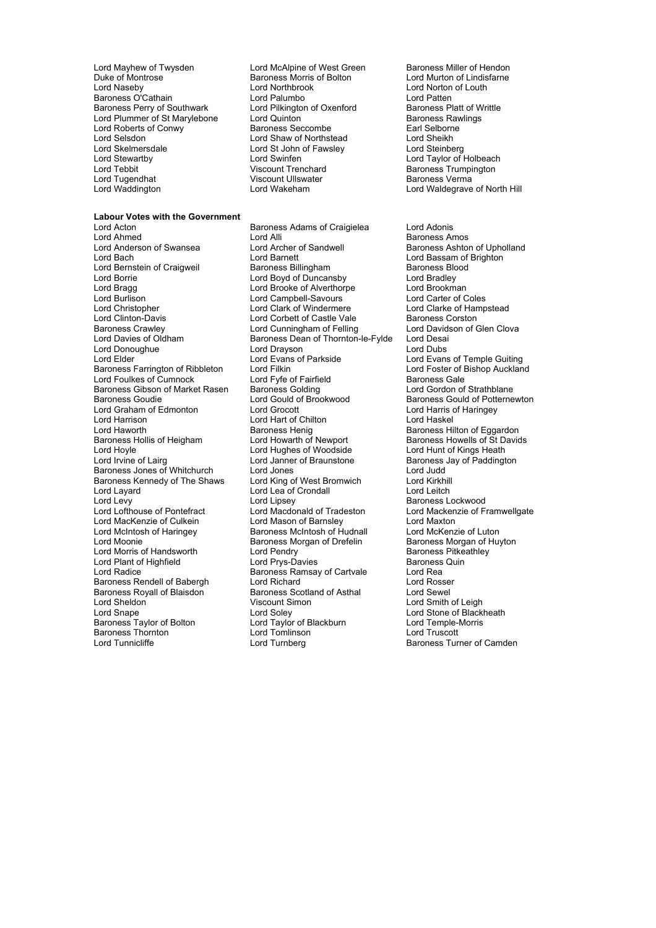- Lord Mayhew of Twysden Lord McAlpine of West Green Baroness Miller of Hendon<br>
Duke of Montrose Baroness Morris of Bolton Lord Murton of Lindisfarne Duke of Montrose **Baroness Morris of Bolton Corresponding Corresponding Corresponding Corresponding Corresponding**<br>
Lord Northbrook Baroness O'Cathain Lord Palumbo<br>Baroness O'Cathain Lord Palumbo Lord Palumbo Lord Patten<br>Baroness Perry of Southwark Lord Pilkington of Oxenford Baroness Platt of Writtle Baroness Perry of Southwark Lord Pilkington of Oxenford Baroness Platt of W<br>
Lord Plummer of St Marylebone Lord Quinton Cornel Baroness Rawlings Lord Plummer of St Marylebone Lord Quinton **Francisco Rawlings** Baroness Raw<br>
Lord Roberts of Conwy **Baroness Reccombe** Farl Selborne Lord Roberts of Conwy<br>
Lord Roberts of Conwy **Baroness Seccombe** Earl Selborn<br>
Lord Selsdon Lord Sheikh<br>
Lord Sheikh Lord Selsdon Lord Shaw of Northstead Lord Sheikh Lord Skelmersdale **Lord St John of Fawsley**<br>
Lord Stewartby **Lord Steiner Communisty**<br>
Lord Swinfen Lord Tebbit Viscount Trenchard<br>
Lord Tebbit Viscount Ullswater Management Baroness Verma<br>
Lord Tugendhat Miscount Ullswater Management Baroness Verma Lord Tugendhat Viscount Ullswa<br>
Lord Waddington<br>
Lord Wakeham
- **Labour Votes with the Government**

Lord Clinton-Davis **Lord Corbett of Castle Vale**<br>
Baroness Crawley **Lord Cunningham of Felling** Baroness Gibson of Market Rasen Baroness Golding<br>Baroness Goudie **Baron Corpon Corpor Corpor Corpor Corpor** Lord Gould of Brookwood Lord Graham of Edmonton Baroness Royall of Blaisdon Baroness Thornton Lord Tomlinson<br>
Lord Tunnicliffe Lord Turnberg

Lord Northbrook<br>Lord Palumbo<br>Lord Patten Lord St John of Fawsley<br>
Lord Steinberg<br>
Lord Taylor of Holbeach<br>
Viscount Trenchard<br>
Viscount Trenchard<br>
Baroness Trumpington

Baroness Adams of Craigielea Lord Adonis Lord Ahmed **Alli** Lord Alli Baroness Amos<br>
Lord Anderson of Swansea Lord Archer of Sandwell Baroness Ashtoi Lord Anderson of Swansea **Super Constructed Ander Sandwell** Baroness Ashton of Upholland Lord Baroness Ashton of Upholland Lord Baroness Ashton of Upholland Lord Barnett<br>
Baroness Billingham<br>
Baroness Blood<br>
Baroness Blood Lord Bernstein of Craigweil Baroness Billingham Baroness Blood Lord Borrie Lord Boyd of Duncansby Lord Bradley Lord Bragg Lord Brooke of Alverthorpe Lord Brookman Lord Burlison Lord Campbell-Savours Lord Carter of Coles Lord Christopher Lord Clark of Windermere Lord Clarke of Hampstead Baroness Crawley **Lord Cunningham of Felling** Lord Davidson of Glen Clova<br>
Lord Davies of Oldham **Baroness Dean of Thornton-le-Fylde** Lord Desai Baroness Dean of Thornton-le-Fylde Lord Donoughue **Lord Lord Drayson** Lord Dubs<br>
Lord Elder Lord Evans of Parkside Lord Evans Lord Evans of Parkside<br>
Lord Evans of Parkside<br>
Lord Foster of Bishop Auckland Baroness Farrington of Ribbleton Lord Filkin Lord Farrington of Ribbleton Lord Foster of I<br>
Lord Foulkes of Cumnock Lord Fvfe of Fairfield Baroness Gale Lord Foulkes of Cumnock Lord Fyfe of Fairfield<br>
Baroness Gibson of Market Rasen Baroness Golding Cord Cord Gordon of Strathblane Lord Gould of Brookwood Baroness Gould of Potternewton<br>
Lord Grocott Lord Harris of Haringey Lord Harrison and Lord Hart of Chilton and Lord Harrison Lord Haskel<br>Lord Haskel Lord Haskel Baroness Henig Baroness Hil Lord Haworth **Baroness Henig Baroness Henig** Baroness Hilton of Eggardon<br>Baroness Hollis of Heigham Baroness Howells of St David Baroness Hollis of Heigham Lord Howarth of Newport Baroness Howells of St Davids<br>
Lord Howarth of Newport Baroness Howells of St Davids<br>
Lord Hughes of Woodside Lord Hunt of Kings Heath Lord Irvine of Lairg Lord Janner of Braunstone **Communist Baroness Jay of Paddington** Baroness Jones of Whitchurch Lord Jones Lord Judd Baroness Kennedy of The Shaws Lord King of West Bromwich Lord Kirkhill Lord Layard **Lord Lord Lea of Crondall** Lord Leitch Lord Leitch Lord Leitch Lord Leitch Lord Leitch Lord Leitch<br>
Lord Lipsey **Communist Lord Lipsey** Baroness L Lord Levy Lord Lipsey Lord Clipsey Caroness Lockwood<br>
Lord Lord Lord Machanald of Tradeston Lord Mackenzie of Filth Lord Macdonald of Tradeston Lord Mackenzie of Framwellgate<br>
Lord Mason of Barnsley e Lord Maxton Lord MacKenzie of Culkein Lord Mason of Barnsley Lord Maxton<br>
Lord McIntosh of Haringey Laroness McIntosh of Hudnall Lord McKenzie of Luton Lord McIntosh of Haringey **Baroness McIntosh of Hudnall** Lord McKenzie of Luton<br>Lord Moonie **Lord Moonie Baroness Morgan of Drefelin** Baroness Morgan of Huyton **Baroness Morgan of Drefelin** Baroness Morgan of Huyton Baroness Morgan of Huyton Baroness Pitkeathley Lord Morris of Handsworth Lord Pendry **Consumer State Consumer State Consumers** Baroness Pitke<br>
Lord Pendry **Baroness Pitke**<br>
Lord Prys-Davies Baroness Quin Lord Plant of Highfield Lord Prys-Davies Baroness<br>
Lord Radice Baroness Ramsay of Cartvale Lord Rea Baroness Ramsay of Cartvale Lord Rea<br>
Lord Richard 
Lord Rosser Baroness Rendell of Babergh Lord Richard Corp Lord Rosser<br>Baroness Royall of Blaisdon Baroness Scotland of Asthal Lord Sewel Lord Sheldon Viscount Simon Lord Smith of Leigh Lord Soley **Lord Stone of Blackheath**<br>
Lord Taylor of Blackburn **Lord Temple-Morris** Baroness Taylor of Bolton Lord Taylor of Blackburn Lord Temple-<br>Baroness Taylor of Bolton Lord Taylor of Blackburn Lord Temple-<br>Baroness Thornton Lord Tomlinson Lord Truscott

Lord Waldegrave of North Hill

Lord Hunt of Kings Heath Baroness Turner of Camden